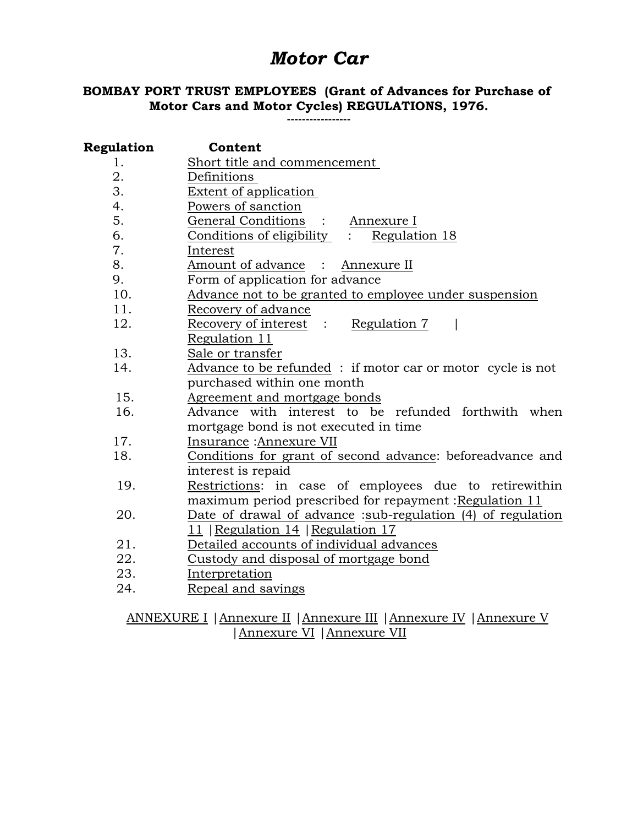# *Motor Car*

# **BOMBAY PORT TRUST EMPLOYEES (Grant of Advances for Purchase of Motor Cars and Motor Cycles) REGULATIONS, 1976.**

**-----------------**

| Regulation | Content                                                     |  |  |  |
|------------|-------------------------------------------------------------|--|--|--|
| 1.         | Short title and commencement                                |  |  |  |
| 2.         | Definitions                                                 |  |  |  |
| 3.         | <b>Extent of application</b>                                |  |  |  |
| 4.         | Powers of sanction                                          |  |  |  |
| 5.         | General Conditions :<br>Annexure I                          |  |  |  |
| 6.         | Conditions of eligibility<br>Regulation 18                  |  |  |  |
| 7.         | Interest                                                    |  |  |  |
| 8.         | Amount of advance :<br>Annexure II                          |  |  |  |
| 9.         | Form of application for advance                             |  |  |  |
| 10.        | Advance not to be granted to employee under suspension      |  |  |  |
| 11.        | Recovery of advance                                         |  |  |  |
| 12.        | Recovery of interest<br>Regulation 7<br>$\cdot$ :           |  |  |  |
|            | Regulation 11                                               |  |  |  |
| 13.        | Sale or transfer                                            |  |  |  |
| 14.        | Advance to be refunded: if motor car or motor cycle is not  |  |  |  |
|            | purchased within one month                                  |  |  |  |
| 15.        | Agreement and mortgage bonds                                |  |  |  |
| 16.        | Advance with interest to be refunded forthwith when         |  |  |  |
|            | mortgage bond is not executed in time                       |  |  |  |
| 17.        | Insurance : Annexure VII                                    |  |  |  |
| 18.        | Conditions for grant of second advance: beforeadvance and   |  |  |  |
|            | interest is repaid                                          |  |  |  |
| 19.        | Restrictions: in case of employees due to retirewithin      |  |  |  |
|            | maximum period prescribed for repayment: Regulation 11      |  |  |  |
| 20.        | Date of drawal of advance :sub-regulation (4) of regulation |  |  |  |
|            | 11   Regulation 14   Regulation 17                          |  |  |  |
| 21.        | Detailed accounts of individual advances                    |  |  |  |
| 22.        | Custody and disposal of mortgage bond                       |  |  |  |
| 23.        | Interpretation                                              |  |  |  |
| 24.        | Repeal and savings                                          |  |  |  |
|            |                                                             |  |  |  |

ANNEXURE I |Annexure II |Annexure III |Annexure IV |Annexure V |Annexure VI |Annexure VII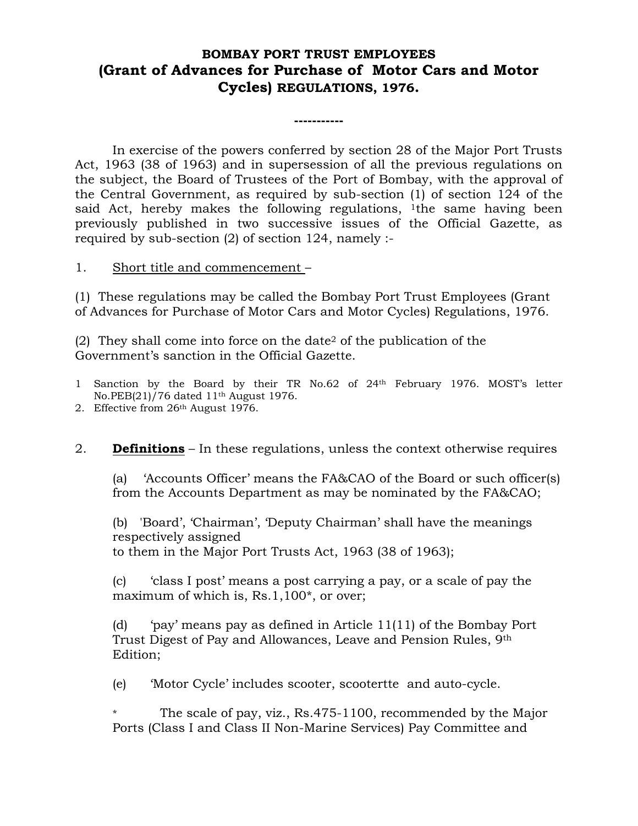# **BOMBAY PORT TRUST EMPLOYEES (Grant of Advances for Purchase of Motor Cars and Motor Cycles) REGULATIONS, 1976.**

**-----------**

In exercise of the powers conferred by section 28 of the Major Port Trusts Act, 1963 (38 of 1963) and in supersession of all the previous regulations on the subject, the Board of Trustees of the Port of Bombay, with the approval of the Central Government, as required by sub-section (1) of section 124 of the said Act, hereby makes the following regulations, <sup>1</sup>the same having been previously published in two successive issues of the Official Gazette, as required by sub-section (2) of section 124, namely :-

#### 1. Short title and commencement –

(1) These regulations may be called the Bombay Port Trust Employees (Grant of Advances for Purchase of Motor Cars and Motor Cycles) Regulations, 1976.

(2) They shall come into force on the date<sup>2</sup> of the publication of the Government's sanction in the Official Gazette.

- 1 Sanction by the Board by their TR No.62 of 24th February 1976. MOST's letter No.PEB(21)/76 dated 11th August 1976.
- 2. Effective from 26th August 1976.
- 2. **Definitions** In these regulations, unless the context otherwise requires

(a) 'Accounts Officer' means the FA&CAO of the Board or such officer(s) from the Accounts Department as may be nominated by the FA&CAO;

(b) 'Board', 'Chairman', 'Deputy Chairman' shall have the meanings respectively assigned to them in the Major Port Trusts Act, 1963 (38 of 1963);

(c) 'class I post' means a post carrying a pay, or a scale of pay the maximum of which is, Rs.1,100\*, or over;

(d) 'pay' means pay as defined in Article 11(11) of the Bombay Port Trust Digest of Pay and Allowances, Leave and Pension Rules, 9th Edition;

(e) 'Motor Cycle' includes scooter, scootertte and auto-cycle.

The scale of pay, viz., Rs.475-1100, recommended by the Major Ports (Class I and Class II Non-Marine Services) Pay Committee and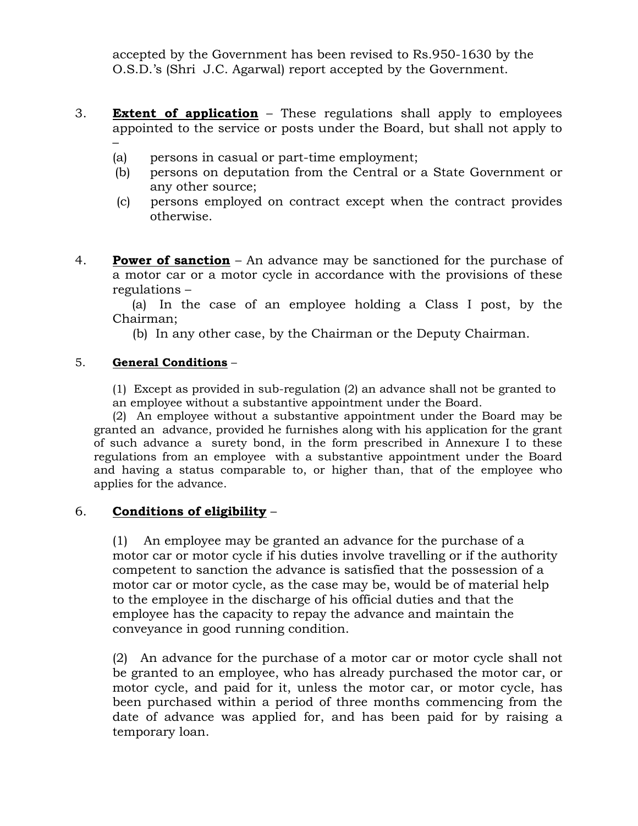accepted by the Government has been revised to Rs.950-1630 by the O.S.D.'s (Shri J.C. Agarwal) report accepted by the Government.

- 3. **Extent of application** These regulations shall apply to employees appointed to the service or posts under the Board, but shall not apply to –
	- (a) persons in casual or part-time employment;
	- (b) persons on deputation from the Central or a State Government or any other source;
	- (c) persons employed on contract except when the contract provides otherwise.
- 4. **Power of sanction** An advance may be sanctioned for the purchase of a motor car or a motor cycle in accordance with the provisions of these regulations –

 (a) In the case of an employee holding a Class I post, by the Chairman;

(b) In any other case, by the Chairman or the Deputy Chairman.

### 5. **General Conditions** –

(1) Except as provided in sub-regulation (2) an advance shall not be granted to an employee without a substantive appointment under the Board.

(2) An employee without a substantive appointment under the Board may be granted an advance, provided he furnishes along with his application for the grant of such advance a surety bond, in the form prescribed in Annexure I to these regulations from an employee with a substantive appointment under the Board and having a status comparable to, or higher than, that of the employee who applies for the advance.

### 6. **Conditions of eligibility** –

(1) An employee may be granted an advance for the purchase of a motor car or motor cycle if his duties involve travelling or if the authority competent to sanction the advance is satisfied that the possession of a motor car or motor cycle, as the case may be, would be of material help to the employee in the discharge of his official duties and that the employee has the capacity to repay the advance and maintain the conveyance in good running condition.

(2) An advance for the purchase of a motor car or motor cycle shall not be granted to an employee, who has already purchased the motor car, or motor cycle, and paid for it, unless the motor car, or motor cycle, has been purchased within a period of three months commencing from the date of advance was applied for, and has been paid for by raising a temporary loan.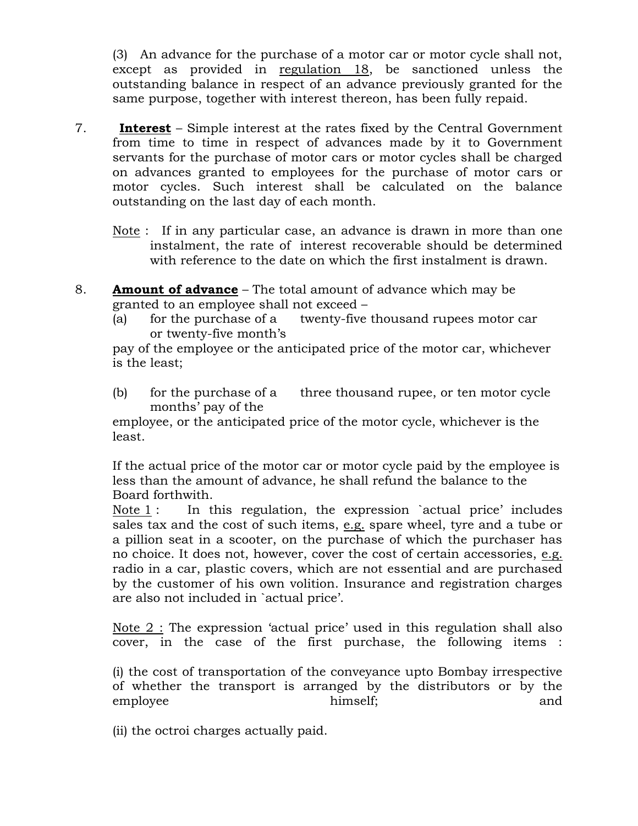(3) An advance for the purchase of a motor car or motor cycle shall not, except as provided in regulation 18, be sanctioned unless the outstanding balance in respect of an advance previously granted for the same purpose, together with interest thereon, has been fully repaid.

- 7. **Interest** Simple interest at the rates fixed by the Central Government from time to time in respect of advances made by it to Government servants for the purchase of motor cars or motor cycles shall be charged on advances granted to employees for the purchase of motor cars or motor cycles. Such interest shall be calculated on the balance outstanding on the last day of each month.
	- Note : If in any particular case, an advance is drawn in more than one instalment, the rate of interest recoverable should be determined with reference to the date on which the first instalment is drawn.
- 8. **Amount of advance** The total amount of advance which may be granted to an employee shall not exceed –
	- (a) for the purchase of a twenty-five thousand rupees motor car or twenty-five month's

pay of the employee or the anticipated price of the motor car, whichever is the least;

(b) for the purchase of a three thousand rupee, or ten motor cycle months' pay of the

employee, or the anticipated price of the motor cycle, whichever is the least.

If the actual price of the motor car or motor cycle paid by the employee is less than the amount of advance, he shall refund the balance to the Board forthwith.

Note  $1$ : In this regulation, the expression `actual price' includes sales tax and the cost of such items, e.g. spare wheel, tyre and a tube or a pillion seat in a scooter, on the purchase of which the purchaser has no choice. It does not, however, cover the cost of certain accessories, e.g. radio in a car, plastic covers, which are not essential and are purchased by the customer of his own volition. Insurance and registration charges are also not included in `actual price'.

Note 2 : The expression 'actual price' used in this regulation shall also cover, in the case of the first purchase, the following items :

(i) the cost of transportation of the conveyance upto Bombay irrespective of whether the transport is arranged by the distributors or by the employee himself; and

(ii) the octroi charges actually paid.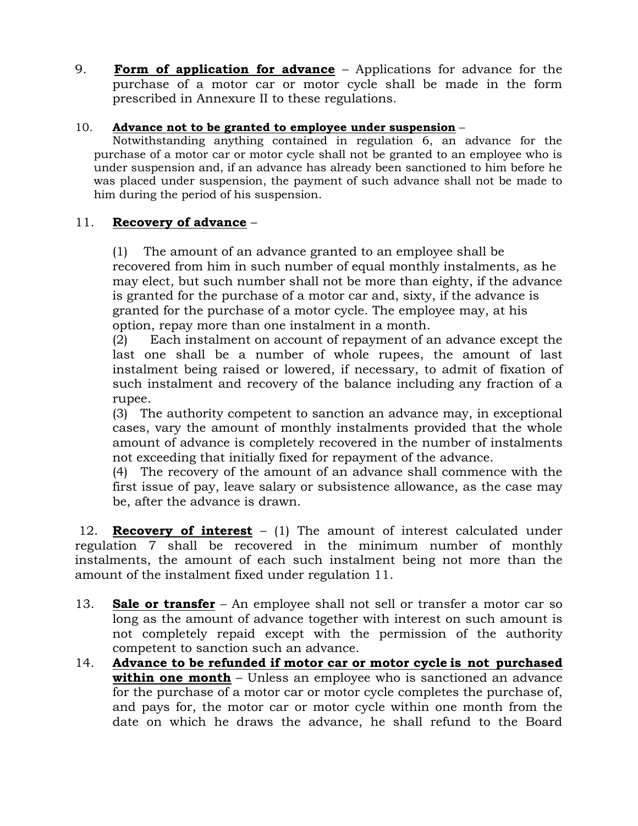9. **Form of application for advance** – Applications for advance for the purchase of a motor car or motor cycle shall be made in the form prescribed in Annexure II to these regulations.

### 10. **Advance not to be granted to employee under suspension** –

Notwithstanding anything contained in regulation 6, an advance for the purchase of a motor car or motor cycle shall not be granted to an employee who is under suspension and, if an advance has already been sanctioned to him before he was placed under suspension, the payment of such advance shall not be made to him during the period of his suspension.

# 11. **Recovery of advance** –

(1) The amount of an advance granted to an employee shall be recovered from him in such number of equal monthly instalments, as he may elect, but such number shall not be more than eighty, if the advance is granted for the purchase of a motor car and, sixty, if the advance is granted for the purchase of a motor cycle. The employee may, at his option, repay more than one instalment in a month.

(2) Each instalment on account of repayment of an advance except the last one shall be a number of whole rupees, the amount of last instalment being raised or lowered, if necessary, to admit of fixation of such instalment and recovery of the balance including any fraction of a rupee.

(3) The authority competent to sanction an advance may, in exceptional cases, vary the amount of monthly instalments provided that the whole amount of advance is completely recovered in the number of instalments not exceeding that initially fixed for repayment of the advance.

(4) The recovery of the amount of an advance shall commence with the first issue of pay, leave salary or subsistence allowance, as the case may be, after the advance is drawn.

12. **Recovery of interest** – (1) The amount of interest calculated under regulation 7 shall be recovered in the minimum number of monthly instalments, the amount of each such instalment being not more than the amount of the instalment fixed under regulation 11.

- 13. **Sale or transfer** An employee shall not sell or transfer a motor car so long as the amount of advance together with interest on such amount is not completely repaid except with the permission of the authority competent to sanction such an advance.
- 14. **Advance to be refunded if motor car or motor cycle is not purchased within one month** – Unless an employee who is sanctioned an advance for the purchase of a motor car or motor cycle completes the purchase of, and pays for, the motor car or motor cycle within one month from the date on which he draws the advance, he shall refund to the Board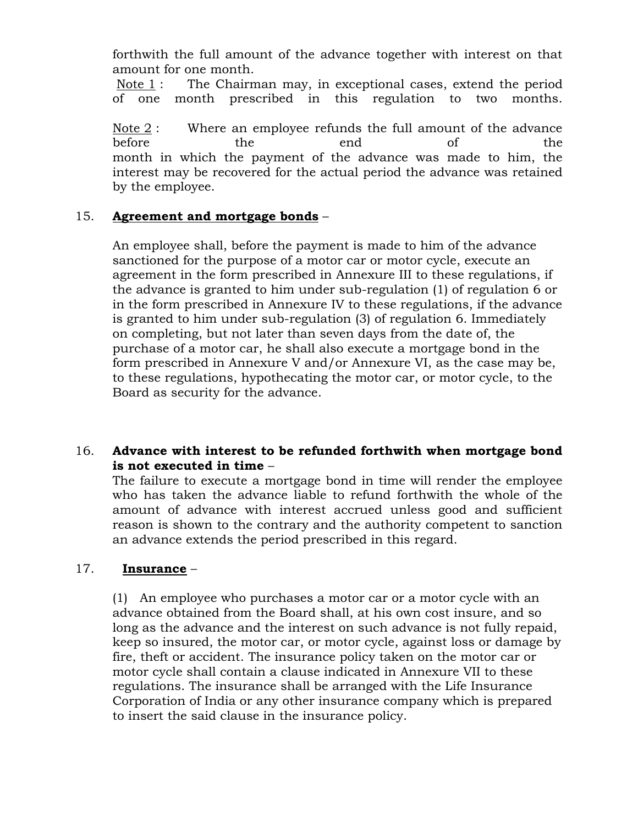forthwith the full amount of the advance together with interest on that amount for one month.

Note 1 : The Chairman may, in exceptional cases, extend the period of one month prescribed in this regulation to two months.

Note 2 : Where an employee refunds the full amount of the advance before the end of the month in which the payment of the advance was made to him, the interest may be recovered for the actual period the advance was retained by the employee.

### 15. **Agreement and mortgage bonds** –

An employee shall, before the payment is made to him of the advance sanctioned for the purpose of a motor car or motor cycle, execute an agreement in the form prescribed in Annexure III to these regulations, if the advance is granted to him under sub-regulation (1) of regulation 6 or in the form prescribed in Annexure IV to these regulations, if the advance is granted to him under sub-regulation (3) of regulation 6. Immediately on completing, but not later than seven days from the date of, the purchase of a motor car, he shall also execute a mortgage bond in the form prescribed in Annexure V and/or Annexure VI, as the case may be, to these regulations, hypothecating the motor car, or motor cycle, to the Board as security for the advance.

## 16. **Advance with interest to be refunded forthwith when mortgage bond is not executed in time** –

The failure to execute a mortgage bond in time will render the employee who has taken the advance liable to refund forthwith the whole of the amount of advance with interest accrued unless good and sufficient reason is shown to the contrary and the authority competent to sanction an advance extends the period prescribed in this regard.

### 17. **Insurance** –

(1) An employee who purchases a motor car or a motor cycle with an advance obtained from the Board shall, at his own cost insure, and so long as the advance and the interest on such advance is not fully repaid, keep so insured, the motor car, or motor cycle, against loss or damage by fire, theft or accident. The insurance policy taken on the motor car or motor cycle shall contain a clause indicated in Annexure VII to these regulations. The insurance shall be arranged with the Life Insurance Corporation of India or any other insurance company which is prepared to insert the said clause in the insurance policy.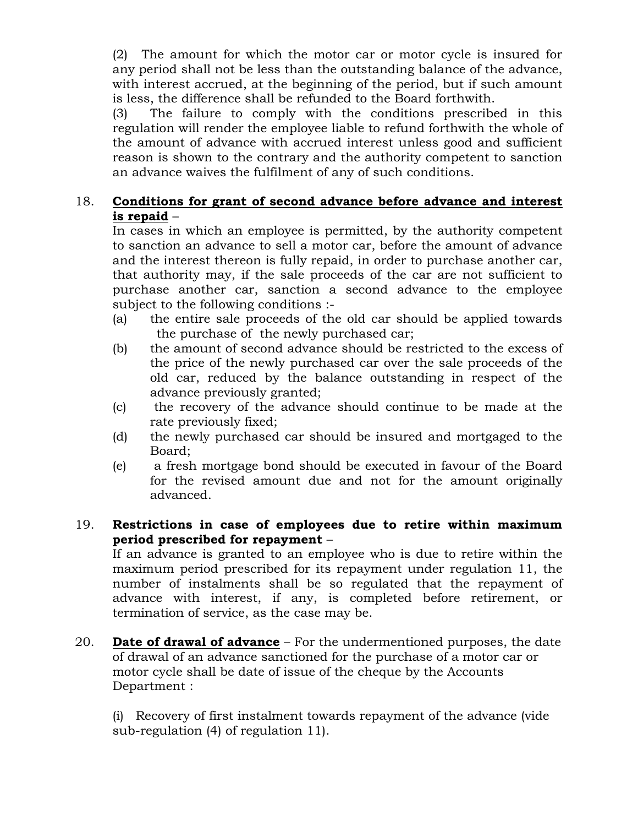(2) The amount for which the motor car or motor cycle is insured for any period shall not be less than the outstanding balance of the advance, with interest accrued, at the beginning of the period, but if such amount is less, the difference shall be refunded to the Board forthwith.

(3) The failure to comply with the conditions prescribed in this regulation will render the employee liable to refund forthwith the whole of the amount of advance with accrued interest unless good and sufficient reason is shown to the contrary and the authority competent to sanction an advance waives the fulfilment of any of such conditions.

# 18. **Conditions for grant of second advance before advance and interest is repaid** –

In cases in which an employee is permitted, by the authority competent to sanction an advance to sell a motor car, before the amount of advance and the interest thereon is fully repaid, in order to purchase another car, that authority may, if the sale proceeds of the car are not sufficient to purchase another car, sanction a second advance to the employee subject to the following conditions :-

- (a) the entire sale proceeds of the old car should be applied towards the purchase of the newly purchased car;
- (b) the amount of second advance should be restricted to the excess of the price of the newly purchased car over the sale proceeds of the old car, reduced by the balance outstanding in respect of the advance previously granted;
- (c) the recovery of the advance should continue to be made at the rate previously fixed;
- (d) the newly purchased car should be insured and mortgaged to the Board;
- (e) a fresh mortgage bond should be executed in favour of the Board for the revised amount due and not for the amount originally advanced.

## 19. **Restrictions in case of employees due to retire within maximum period prescribed for repayment** –

If an advance is granted to an employee who is due to retire within the maximum period prescribed for its repayment under regulation 11, the number of instalments shall be so regulated that the repayment of advance with interest, if any, is completed before retirement, or termination of service, as the case may be.

20. **Date of drawal of advance** – For the undermentioned purposes, the date of drawal of an advance sanctioned for the purchase of a motor car or motor cycle shall be date of issue of the cheque by the Accounts Department :

(i) Recovery of first instalment towards repayment of the advance (vide sub-regulation (4) of regulation 11).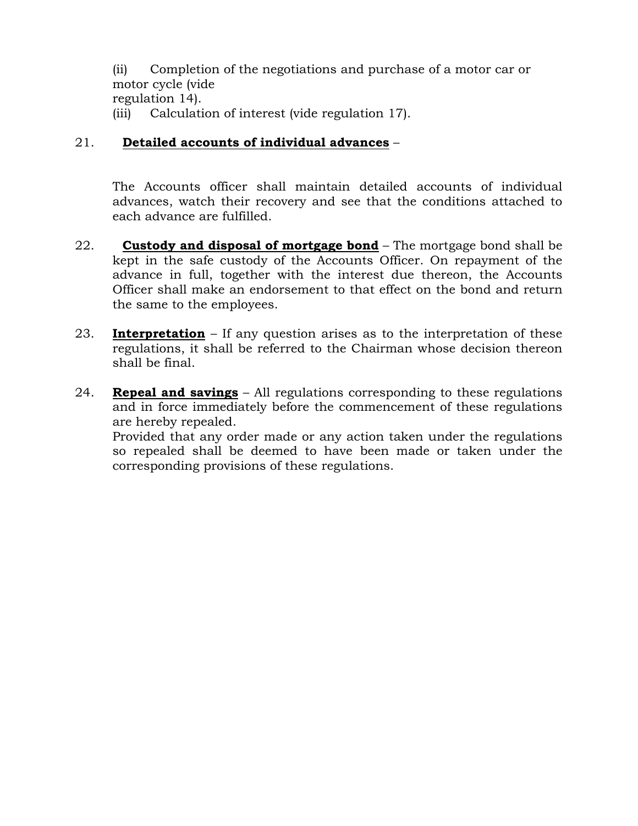(ii) Completion of the negotiations and purchase of a motor car or motor cycle (vide regulation 14). (iii) Calculation of interest (vide regulation 17).

# 21. **Detailed accounts of individual advances** –

The Accounts officer shall maintain detailed accounts of individual advances, watch their recovery and see that the conditions attached to each advance are fulfilled.

- 22. **Custody and disposal of mortgage bond** The mortgage bond shall be kept in the safe custody of the Accounts Officer. On repayment of the advance in full, together with the interest due thereon, the Accounts Officer shall make an endorsement to that effect on the bond and return the same to the employees.
- 23. **Interpretation** If any question arises as to the interpretation of these regulations, it shall be referred to the Chairman whose decision thereon shall be final.
- 24. **Repeal and savings** All regulations corresponding to these regulations and in force immediately before the commencement of these regulations are hereby repealed.

Provided that any order made or any action taken under the regulations so repealed shall be deemed to have been made or taken under the corresponding provisions of these regulations.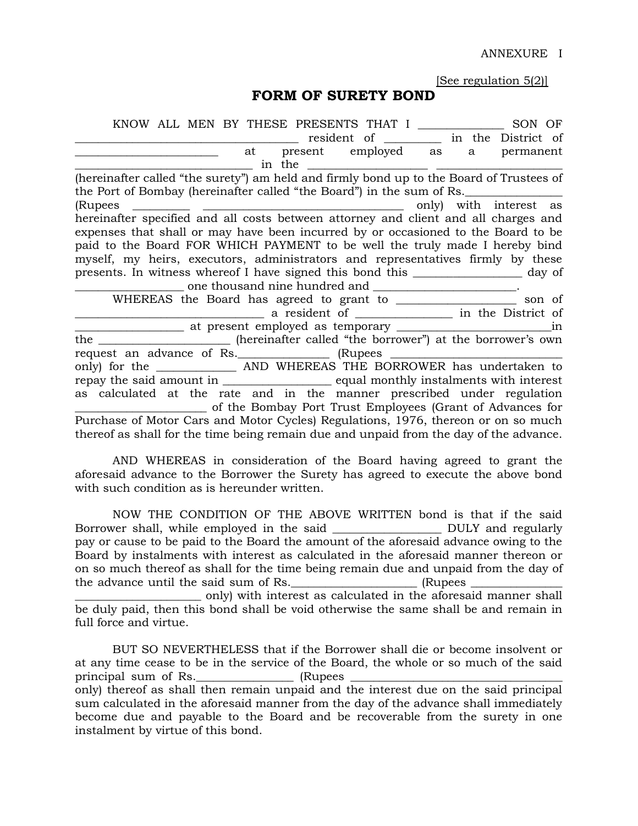ANNEXURE I

[See regulation 5(2)]

### **FORM OF SURETY BOND**

| KNOW ALL MEN BY THESE PRESENTS THAT I<br>SON OF                                          |  |  |  |  |  |  |  |  |
|------------------------------------------------------------------------------------------|--|--|--|--|--|--|--|--|
| resident of ___________ in the District of                                               |  |  |  |  |  |  |  |  |
| at present employed as a permanent                                                       |  |  |  |  |  |  |  |  |
|                                                                                          |  |  |  |  |  |  |  |  |
| (hereinafter called "the surety") am held and firmly bond up to the Board of Trustees of |  |  |  |  |  |  |  |  |
| the Port of Bombay (hereinafter called "the Board") in the sum of Rs.                    |  |  |  |  |  |  |  |  |
| (Rupees<br>only) with interest as                                                        |  |  |  |  |  |  |  |  |
| hereinafter specified and all costs between attorney and client and all charges and      |  |  |  |  |  |  |  |  |
| expenses that shall or may have been incurred by or occasioned to the Board to be        |  |  |  |  |  |  |  |  |
| paid to the Board FOR WHICH PAYMENT to be well the truly made I hereby bind              |  |  |  |  |  |  |  |  |
| myself, my heirs, executors, administrators and representatives firmly by these          |  |  |  |  |  |  |  |  |
| presents. In witness whereof I have signed this bond this _____________________ day of   |  |  |  |  |  |  |  |  |
| one thousand nine hundred and ______________________.                                    |  |  |  |  |  |  |  |  |
| WHEREAS the Board has agreed to grant to ____________________ son of                     |  |  |  |  |  |  |  |  |
|                                                                                          |  |  |  |  |  |  |  |  |
|                                                                                          |  |  |  |  |  |  |  |  |
|                                                                                          |  |  |  |  |  |  |  |  |
| the ________________________ (hereinafter called "the borrower") at the borrower's own   |  |  |  |  |  |  |  |  |
| request an advance of Rs. ______________ (Rupees ________________________________        |  |  |  |  |  |  |  |  |
| only) for the ____________________ AND WHEREAS THE BORROWER has undertaken to            |  |  |  |  |  |  |  |  |
| repay the said amount in ______________________ equal monthly instalments with interest  |  |  |  |  |  |  |  |  |
| as calculated at the rate and in the manner prescribed under regulation                  |  |  |  |  |  |  |  |  |
| of the Bombay Port Trust Employees (Grant of Advances for                                |  |  |  |  |  |  |  |  |
| Purchase of Motor Cars and Motor Cycles) Regulations, 1976, thereon or on so much        |  |  |  |  |  |  |  |  |
| thereof as shall for the time being remain due and unpaid from the day of the advance.   |  |  |  |  |  |  |  |  |

AND WHEREAS in consideration of the Board having agreed to grant the aforesaid advance to the Borrower the Surety has agreed to execute the above bond with such condition as is hereunder written.

NOW THE CONDITION OF THE ABOVE WRITTEN bond is that if the said Borrower shall, while employed in the said \_\_\_\_\_\_\_\_\_\_\_\_\_\_\_\_\_\_\_ DULY and regularly pay or cause to be paid to the Board the amount of the aforesaid advance owing to the Board by instalments with interest as calculated in the aforesaid manner thereon or on so much thereof as shall for the time being remain due and unpaid from the day of the advance until the said sum of Rs. The same sum (Rupees  $\sim$ \_\_\_\_\_\_\_\_\_\_\_\_\_\_\_\_\_\_\_\_\_\_ only) with interest as calculated in the aforesaid manner shall be duly paid, then this bond shall be void otherwise the same shall be and remain in full force and virtue.

BUT SO NEVERTHELESS that if the Borrower shall die or become insolvent or at any time cease to be in the service of the Board, the whole or so much of the said principal sum of Rs.\_\_\_\_\_\_\_\_\_\_\_\_\_\_\_\_\_ (Rupees \_\_\_\_\_\_\_\_\_\_\_\_\_\_\_\_\_\_\_\_\_\_\_\_\_\_\_\_\_\_\_\_\_\_\_\_\_ only) thereof as shall then remain unpaid and the interest due on the said principal sum calculated in the aforesaid manner from the day of the advance shall immediately become due and payable to the Board and be recoverable from the surety in one instalment by virtue of this bond.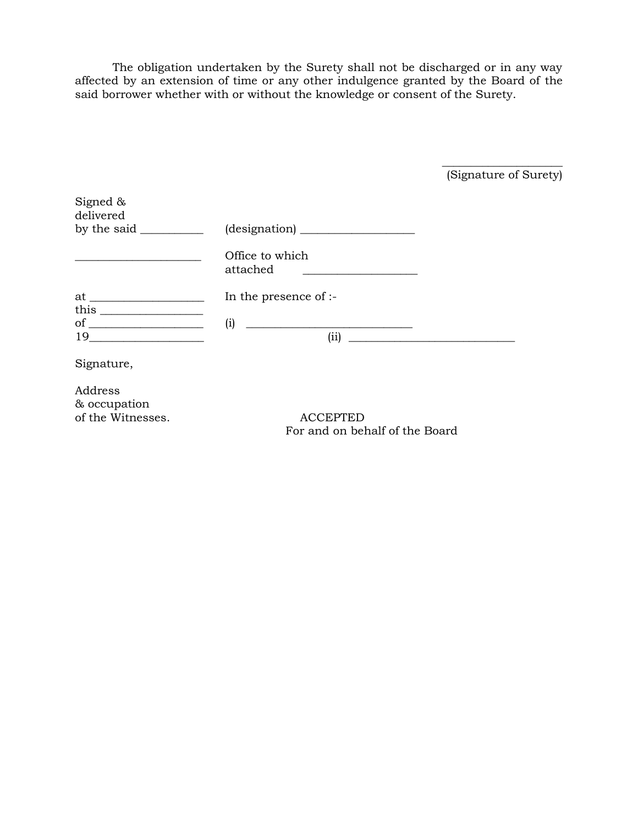The obligation undertaken by the Surety shall not be discharged or in any way affected by an extension of time or any other indulgence granted by the Board of the said borrower whether with or without the knowledge or consent of the Surety.

(Signature of Surety)

 $\frac{1}{2}$  ,  $\frac{1}{2}$  ,  $\frac{1}{2}$  ,  $\frac{1}{2}$  ,  $\frac{1}{2}$  ,  $\frac{1}{2}$  ,  $\frac{1}{2}$  ,  $\frac{1}{2}$  ,  $\frac{1}{2}$  ,  $\frac{1}{2}$  ,  $\frac{1}{2}$  ,  $\frac{1}{2}$  ,  $\frac{1}{2}$  ,  $\frac{1}{2}$  ,  $\frac{1}{2}$  ,  $\frac{1}{2}$  ,  $\frac{1}{2}$  ,  $\frac{1}{2}$  ,  $\frac{1$ 

| Signed $\&$<br>delivered<br>by the said $\_\_$                                 |                                                                                  |
|--------------------------------------------------------------------------------|----------------------------------------------------------------------------------|
|                                                                                | Office to which<br>attached<br><u> 1989 - Andrea State Barbara, amerikan per</u> |
|                                                                                | In the presence of :-                                                            |
| this $\frac{1}{\sqrt{1-\frac{1}{2}}\left\lceil \frac{1}{2}\right\rceil}$<br>19 | (i)<br>(ii)                                                                      |
| Signature,                                                                     |                                                                                  |

Address & occupation of the Witnesses. ACCEPTED

For and on behalf of the Board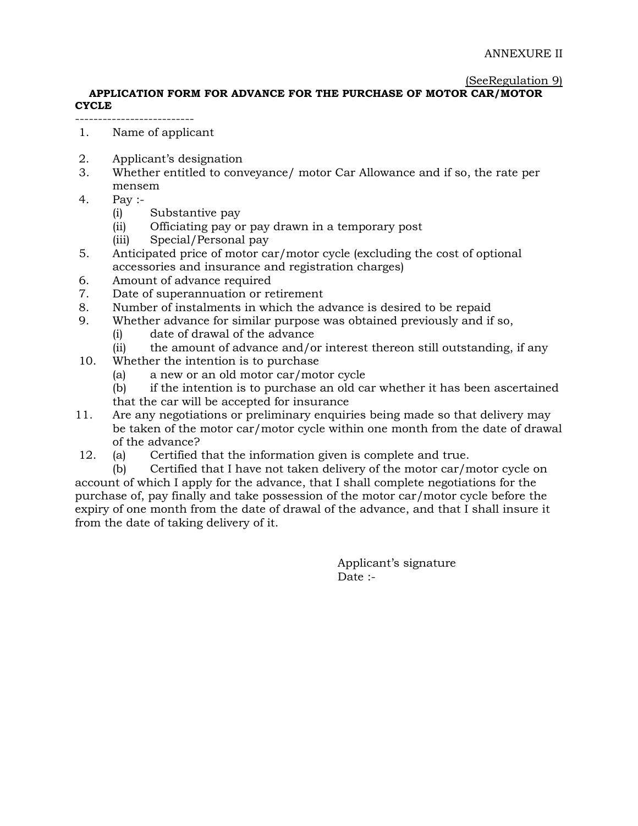#### (SeeRegulation 9)

#### **APPLICATION FORM FOR ADVANCE FOR THE PURCHASE OF MOTOR CAR/MOTOR CYCLE**

1. Name of applicant

--------------------------

- 2. Applicant's designation
- 3. Whether entitled to conveyance/ motor Car Allowance and if so, the rate per mensem
- 4. Pay :-
	- (i) Substantive pay
	- (ii) Officiating pay or pay drawn in a temporary post
	- (iii) Special/Personal pay
- 5. Anticipated price of motor car/motor cycle (excluding the cost of optional accessories and insurance and registration charges)
- 6. Amount of advance required
- 7. Date of superannuation or retirement
- 8. Number of instalments in which the advance is desired to be repaid
- 9. Whether advance for similar purpose was obtained previously and if so,
	- (i) date of drawal of the advance
	- (ii) the amount of advance and/or interest thereon still outstanding, if any
- 10. Whether the intention is to purchase
	- (a) a new or an old motor car/motor cycle
	- (b) if the intention is to purchase an old car whether it has been ascertained that the car will be accepted for insurance
- 11. Are any negotiations or preliminary enquiries being made so that delivery may be taken of the motor car/motor cycle within one month from the date of drawal of the advance?
- 12. (a) Certified that the information given is complete and true.

(b) Certified that I have not taken delivery of the motor car/motor cycle on account of which I apply for the advance, that I shall complete negotiations for the purchase of, pay finally and take possession of the motor car/motor cycle before the expiry of one month from the date of drawal of the advance, and that I shall insure it from the date of taking delivery of it.

> Applicant's signature Date :-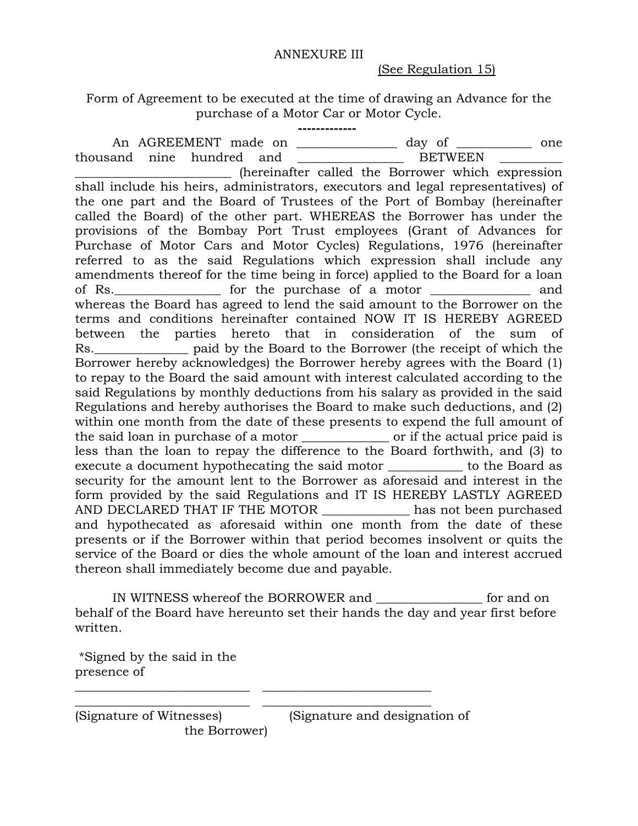#### ANNEXURE III

(See Regulation 15)

Form of Agreement to be executed at the time of drawing an Advance for the purchase of a Motor Car or Motor Cycle.

 **-------------**

An AGREEMENT made on \_\_\_\_\_\_\_\_\_\_\_\_\_\_\_ day of \_\_\_\_\_\_\_\_\_\_ one thousand nine hundred and \_\_\_\_\_\_\_\_\_\_\_\_\_\_\_\_\_ BETWEEN \_\_\_\_\_\_\_\_\_\_ \_\_\_\_\_\_\_\_\_\_\_\_\_\_\_\_\_\_\_\_\_\_\_\_\_ (hereinafter called the Borrower which expression shall include his heirs, administrators, executors and legal representatives) of the one part and the Board of Trustees of the Port of Bombay (hereinafter called the Board) of the other part. WHEREAS the Borrower has under the provisions of the Bombay Port Trust employees (Grant of Advances for Purchase of Motor Cars and Motor Cycles) Regulations, 1976 (hereinafter referred to as the said Regulations which expression shall include any amendments thereof for the time being in force) applied to the Board for a loan of Rs.\_\_\_\_\_\_\_\_\_\_\_\_\_\_\_\_\_ for the purchase of a motor \_\_\_\_\_\_\_\_\_\_\_\_\_\_\_\_ and whereas the Board has agreed to lend the said amount to the Borrower on the terms and conditions hereinafter contained NOW IT IS HEREBY AGREED between the parties hereto that in consideration of the sum of Rs. The paid by the Board to the Borrower (the receipt of which the Borrower hereby acknowledges) the Borrower hereby agrees with the Board (1) to repay to the Board the said amount with interest calculated according to the said Regulations by monthly deductions from his salary as provided in the said Regulations and hereby authorises the Board to make such deductions, and (2) within one month from the date of these presents to expend the full amount of the said loan in purchase of a motor \_\_\_\_\_\_\_\_\_\_\_\_\_\_ or if the actual price paid is less than the loan to repay the difference to the Board forthwith, and (3) to execute a document hypothecating the said motor \_\_\_\_\_\_\_\_\_\_\_\_ to the Board as security for the amount lent to the Borrower as aforesaid and interest in the form provided by the said Regulations and IT IS HEREBY LASTLY AGREED AND DECLARED THAT IF THE MOTOR \_\_\_\_\_\_\_\_\_\_\_\_\_\_ has not been purchased and hypothecated as aforesaid within one month from the date of these presents or if the Borrower within that period becomes insolvent or quits the service of the Board or dies the whole amount of the loan and interest accrued thereon shall immediately become due and payable.

IN WITNESS whereof the BORROWER and \_\_\_\_\_\_\_\_\_\_\_\_\_\_\_\_\_ for and on behalf of the Board have hereunto set their hands the day and year first before written.

\_\_\_\_\_\_\_\_\_\_\_\_\_\_\_\_\_\_\_\_\_\_\_\_\_\_\_\_ \_\_\_\_\_\_\_\_\_\_\_\_\_\_\_\_\_\_\_\_\_\_\_\_\_\_\_ \_\_\_\_\_\_\_\_\_\_\_\_\_\_\_\_\_\_\_\_\_\_\_\_\_\_\_\_ \_\_\_\_\_\_\_\_\_\_\_\_\_\_\_\_\_\_\_\_\_\_\_\_\_\_\_

\*Signed by the said in the presence of

(Signature of Witnesses) (Signature and designation of the Borrower)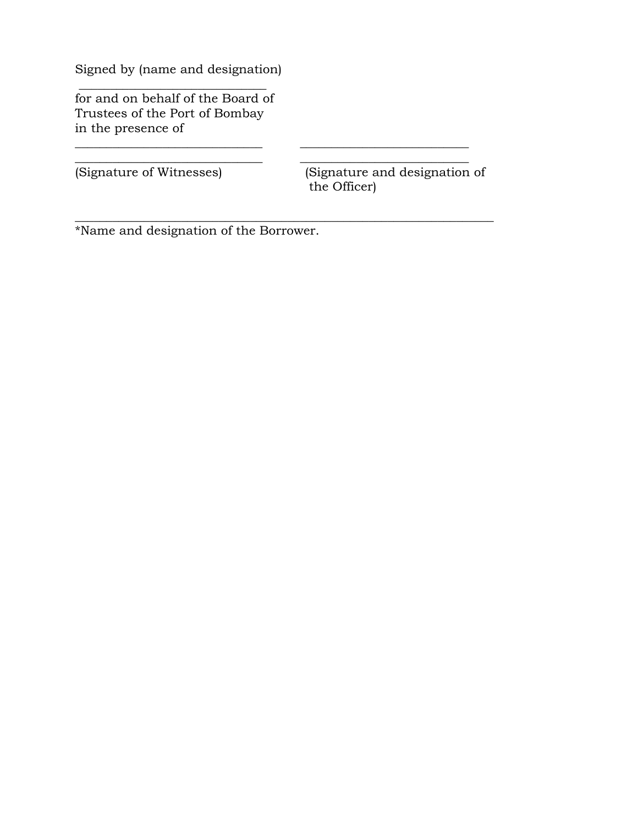Signed by (name and designation)

 $\overline{\phantom{a}}$  , where  $\overline{\phantom{a}}$  , where  $\overline{\phantom{a}}$  ,  $\overline{\phantom{a}}$  ,  $\overline{\phantom{a}}$  ,  $\overline{\phantom{a}}$  ,  $\overline{\phantom{a}}$  ,  $\overline{\phantom{a}}$  ,  $\overline{\phantom{a}}$  ,  $\overline{\phantom{a}}$  ,  $\overline{\phantom{a}}$  ,  $\overline{\phantom{a}}$  ,  $\overline{\phantom{a}}$  ,  $\overline{\phantom{a}}$  ,  $\overline{\phantom{a}}$  , for and on behalf of the Board of Trustees of the Port of Bombay in the presence of

(Signature of Witnesses) (Signature and designation of the Officer)

\*Name and designation of the Borrower.

\_\_\_\_\_\_\_\_\_\_\_\_\_\_\_\_\_\_\_\_\_\_\_\_\_\_\_\_\_\_ \_\_\_\_\_\_\_\_\_\_\_\_\_\_\_\_\_\_\_\_\_\_\_\_\_\_\_ \_\_\_\_\_\_\_\_\_\_\_\_\_\_\_\_\_\_\_\_\_\_\_\_\_\_\_\_\_\_ \_\_\_\_\_\_\_\_\_\_\_\_\_\_\_\_\_\_\_\_\_\_\_\_\_\_\_

\_\_\_\_\_\_\_\_\_\_\_\_\_\_\_\_\_\_\_\_\_\_\_\_\_\_\_\_\_\_\_\_\_\_\_\_\_\_\_\_\_\_\_\_\_\_\_\_\_\_\_\_\_\_\_\_\_\_\_\_\_\_\_\_\_\_\_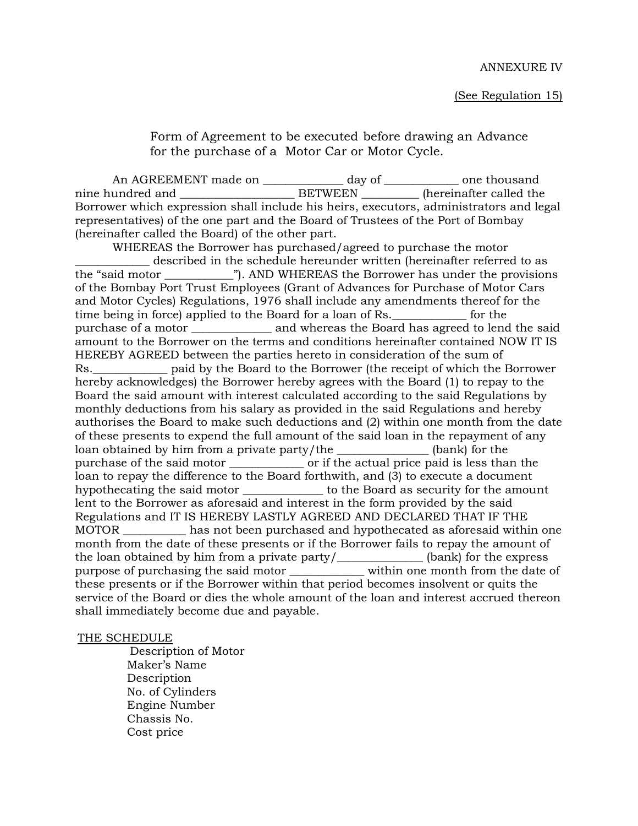Form of Agreement to be executed before drawing an Advance for the purchase of a Motor Car or Motor Cycle.

An AGREEMENT made on \_\_\_\_\_\_\_\_\_\_\_\_\_\_\_\_ day of \_\_\_\_\_\_\_\_\_\_\_\_\_\_\_ one thousand nine hundred and \_\_\_\_\_\_\_\_\_\_\_\_\_\_\_\_\_\_\_\_\_\_\_\_\_\_\_BETWEEN \_\_\_\_\_\_\_\_\_\_\_\_ (hereinafter called the Borrower which expression shall include his heirs, executors, administrators and legal representatives) of the one part and the Board of Trustees of the Port of Bombay (hereinafter called the Board) of the other part.

WHEREAS the Borrower has purchased/agreed to purchase the motor \_\_\_\_\_\_\_\_\_\_\_\_\_ described in the schedule hereunder written (hereinafter referred to as the "said motor \_\_\_\_\_\_\_\_\_\_\_\_"). AND WHEREAS the Borrower has under the provisions of the Bombay Port Trust Employees (Grant of Advances for Purchase of Motor Cars and Motor Cycles) Regulations, 1976 shall include any amendments thereof for the time being in force) applied to the Board for a loan of Rs.\_\_\_\_\_\_\_\_\_\_\_\_\_ for the purchase of a motor \_\_\_\_\_\_\_\_\_\_\_\_\_\_ and whereas the Board has agreed to lend the said amount to the Borrower on the terms and conditions hereinafter contained NOW IT IS HEREBY AGREED between the parties hereto in consideration of the sum of Rs.\_\_\_\_\_\_\_\_\_\_\_\_\_ paid by the Board to the Borrower (the receipt of which the Borrower hereby acknowledges) the Borrower hereby agrees with the Board (1) to repay to the Board the said amount with interest calculated according to the said Regulations by monthly deductions from his salary as provided in the said Regulations and hereby authorises the Board to make such deductions and (2) within one month from the date of these presents to expend the full amount of the said loan in the repayment of any loan obtained by him from a private party/the state of the state (bank) for the purchase of the said motor \_\_\_\_\_\_\_\_\_\_\_\_\_\_\_\_ or if the actual price paid is less than the loan to repay the difference to the Board forthwith, and (3) to execute a document hypothecating the said motor \_\_\_\_\_\_\_\_\_\_\_\_\_\_ to the Board as security for the amount lent to the Borrower as aforesaid and interest in the form provided by the said Regulations and IT IS HEREBY LASTLY AGREED AND DECLARED THAT IF THE MOTOR \_\_\_\_\_\_\_\_\_\_\_ has not been purchased and hypothecated as aforesaid within one month from the date of these presents or if the Borrower fails to repay the amount of the loan obtained by him from a private party/\_\_\_\_\_\_\_\_\_\_\_\_\_\_\_ (bank) for the express purpose of purchasing the said motor within one month from the date of these presents or if the Borrower within that period becomes insolvent or quits the service of the Board or dies the whole amount of the loan and interest accrued thereon shall immediately become due and payable.

#### THE SCHEDULE

 Description of Motor Maker's Name **Description**  No. of Cylinders Engine Number Chassis No. Cost price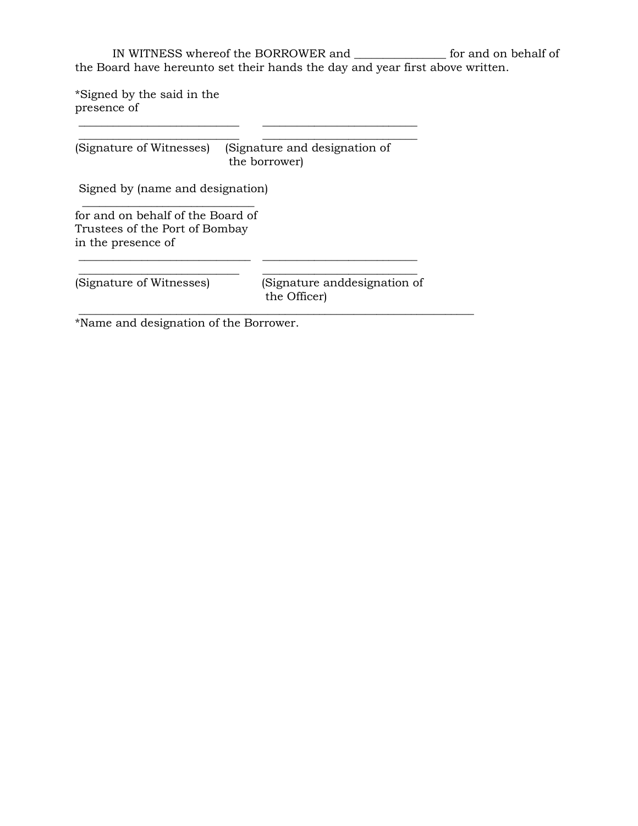IN WITNESS whereof the BORROWER and \_\_\_\_\_\_\_\_\_\_\_\_\_\_\_\_ for and on behalf of the Board have hereunto set their hands the day and year first above written.

\*Signed by the said in the presence of \_\_\_\_\_\_\_\_\_\_\_\_\_\_\_\_\_\_\_\_\_\_\_\_\_\_\_\_ \_\_\_\_\_\_\_\_\_\_\_\_\_\_\_\_\_\_\_\_\_\_\_\_\_\_\_

(Signature of Witnesses) (Signature and designation of the borrower)

\_\_\_\_\_\_\_\_\_\_\_\_\_\_\_\_\_\_\_\_\_\_\_\_\_\_\_\_ \_\_\_\_\_\_\_\_\_\_\_\_\_\_\_\_\_\_\_\_\_\_\_\_\_\_\_

\_\_\_\_\_\_\_\_\_\_\_\_\_\_\_\_\_\_\_\_\_\_\_\_\_\_\_\_\_\_ \_\_\_\_\_\_\_\_\_\_\_\_\_\_\_\_\_\_\_\_\_\_\_\_\_\_\_

\_\_\_\_\_\_\_\_\_\_\_\_\_\_\_\_\_\_\_\_\_\_\_\_\_\_\_\_\_\_\_\_\_\_\_\_\_\_\_\_\_\_\_\_\_\_\_\_\_\_\_\_\_\_\_\_\_\_\_\_\_\_\_\_\_\_\_\_\_

Signed by (name and designation)

for and on behalf of the Board of Trustees of the Port of Bombay in the presence of

 $\frac{1}{2}$  ,  $\frac{1}{2}$  ,  $\frac{1}{2}$  ,  $\frac{1}{2}$  ,  $\frac{1}{2}$  ,  $\frac{1}{2}$  ,  $\frac{1}{2}$  ,  $\frac{1}{2}$  ,  $\frac{1}{2}$  ,  $\frac{1}{2}$  ,  $\frac{1}{2}$  ,  $\frac{1}{2}$  ,  $\frac{1}{2}$  ,  $\frac{1}{2}$  ,  $\frac{1}{2}$  ,  $\frac{1}{2}$  ,  $\frac{1}{2}$  ,  $\frac{1}{2}$  ,  $\frac{1$ 

\_\_\_\_\_\_\_\_\_\_\_\_\_\_\_\_\_\_\_\_\_\_\_\_\_\_\_\_ \_\_\_\_\_\_\_\_\_\_\_\_\_\_\_\_\_\_\_\_\_\_\_\_\_\_\_ (Signature of Witnesses) (Signature anddesignation of the Officer)

\*Name and designation of the Borrower.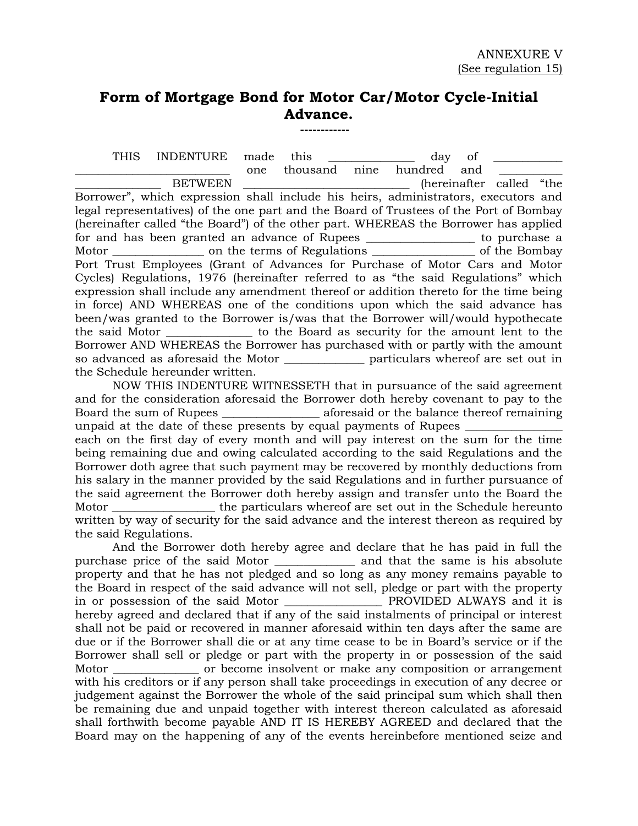# **Form of Mortgage Bond for Motor Car/Motor Cycle-Initial Advance.**

 **------------**

THIS INDENTURE made this the day of one thousand nine hundred and BETWEEN \_\_\_\_\_\_\_\_\_\_\_\_\_\_\_\_\_\_\_\_\_\_\_\_\_\_\_\_\_\_\_\_\_ (hereinafter called "the Borrower", which expression shall include his heirs, administrators, executors and legal representatives) of the one part and the Board of Trustees of the Port of Bombay (hereinafter called "the Board") of the other part. WHEREAS the Borrower has applied for and has been granted an advance of Rupees \_\_\_\_\_\_\_\_\_\_\_\_\_\_\_\_\_\_\_ to purchase a Motor \_\_\_\_\_\_\_\_\_\_\_\_\_\_\_\_\_ on the terms of Regulations \_\_\_\_\_\_\_\_\_\_\_\_\_\_\_\_\_\_\_\_\_\_\_\_\_\_\_\_ of the Bombay Port Trust Employees (Grant of Advances for Purchase of Motor Cars and Motor Cycles) Regulations, 1976 (hereinafter referred to as "the said Regulations" which expression shall include any amendment thereof or addition thereto for the time being in force) AND WHEREAS one of the conditions upon which the said advance has been/was granted to the Borrower is/was that the Borrower will/would hypothecate the said Motor \_\_\_\_\_\_\_\_\_\_\_\_\_\_\_ to the Board as security for the amount lent to the Borrower AND WHEREAS the Borrower has purchased with or partly with the amount so advanced as aforesaid the Motor \_\_\_\_\_\_\_\_\_\_\_\_\_\_ particulars whereof are set out in the Schedule hereunder written.

NOW THIS INDENTURE WITNESSETH that in pursuance of the said agreement and for the consideration aforesaid the Borrower doth hereby covenant to pay to the Board the sum of Rupees \_\_\_\_\_\_\_\_\_\_\_\_\_\_\_\_\_ aforesaid or the balance thereof remaining unpaid at the date of these presents by equal payments of Rupees \_ each on the first day of every month and will pay interest on the sum for the time being remaining due and owing calculated according to the said Regulations and the Borrower doth agree that such payment may be recovered by monthly deductions from his salary in the manner provided by the said Regulations and in further pursuance of the said agreement the Borrower doth hereby assign and transfer unto the Board the Motor \_\_\_\_\_\_\_\_\_\_\_\_\_\_\_\_\_\_ the particulars whereof are set out in the Schedule hereunto written by way of security for the said advance and the interest thereon as required by the said Regulations.

And the Borrower doth hereby agree and declare that he has paid in full the purchase price of the said Motor \_\_\_\_\_\_\_\_\_\_\_\_\_\_ and that the same is his absolute property and that he has not pledged and so long as any money remains payable to the Board in respect of the said advance will not sell, pledge or part with the property in or possession of the said Motor \_\_\_\_\_\_\_\_\_\_\_ hereby agreed and declared that if any of the said instalments of principal or interest shall not be paid or recovered in manner aforesaid within ten days after the same are due or if the Borrower shall die or at any time cease to be in Board's service or if the Borrower shall sell or pledge or part with the property in or possession of the said Motor \_\_\_\_\_\_\_\_\_\_\_\_\_\_\_\_ or become insolvent or make any composition or arrangement with his creditors or if any person shall take proceedings in execution of any decree or judgement against the Borrower the whole of the said principal sum which shall then be remaining due and unpaid together with interest thereon calculated as aforesaid shall forthwith become payable AND IT IS HEREBY AGREED and declared that the Board may on the happening of any of the events hereinbefore mentioned seize and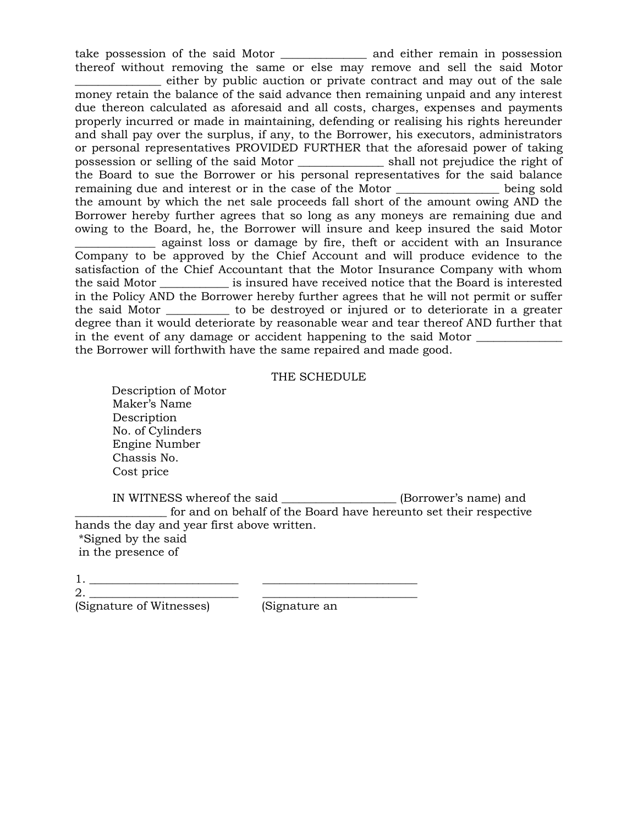take possession of the said Motor \_\_\_\_\_\_\_\_\_\_\_\_\_\_\_ and either remain in possession thereof without removing the same or else may remove and sell the said Motor \_\_\_\_\_\_\_\_\_\_\_\_\_\_\_ either by public auction or private contract and may out of the sale money retain the balance of the said advance then remaining unpaid and any interest due thereon calculated as aforesaid and all costs, charges, expenses and payments properly incurred or made in maintaining, defending or realising his rights hereunder and shall pay over the surplus, if any, to the Borrower, his executors, administrators or personal representatives PROVIDED FURTHER that the aforesaid power of taking

possession or selling of the said Motor \_\_\_\_\_\_\_\_\_\_\_\_\_\_\_ shall not prejudice the right of the Board to sue the Borrower or his personal representatives for the said balance remaining due and interest or in the case of the Motor \_\_\_\_\_\_\_\_\_\_\_\_\_\_\_\_\_\_ being sold the amount by which the net sale proceeds fall short of the amount owing AND the Borrower hereby further agrees that so long as any moneys are remaining due and owing to the Board, he, the Borrower will insure and keep insured the said Motor

\_\_\_\_\_\_\_\_\_\_\_\_\_\_ against loss or damage by fire, theft or accident with an Insurance Company to be approved by the Chief Account and will produce evidence to the satisfaction of the Chief Accountant that the Motor Insurance Company with whom the said Motor \_\_\_\_\_\_\_\_\_\_\_\_ is insured have received notice that the Board is interested in the Policy AND the Borrower hereby further agrees that he will not permit or suffer the said Motor \_\_\_\_\_\_\_\_\_\_\_ to be destroyed or injured or to deteriorate in a greater degree than it would deteriorate by reasonable wear and tear thereof AND further that in the event of any damage or accident happening to the said Motor  $\Box$ the Borrower will forthwith have the same repaired and made good.

#### THE SCHEDULE

 Description of Motor Maker's Name Description No. of Cylinders Engine Number Chassis No. Cost price

IN WITNESS whereof the said \_\_\_\_\_\_\_\_\_\_\_\_\_\_\_\_\_\_\_\_ (Borrower's name) and \_\_\_\_\_\_\_\_\_\_\_\_\_\_\_\_ for and on behalf of the Board have hereunto set their respective hands the day and year first above written. \*Signed by the said

in the presence of

| - |  |
|---|--|

2. \_\_\_\_\_\_\_\_\_\_\_\_\_\_\_\_\_\_\_\_\_\_\_\_\_\_ \_\_\_\_\_\_\_\_\_\_\_\_\_\_\_\_\_\_\_\_\_\_\_\_\_\_\_

(Signature of Witnesses) (Signature an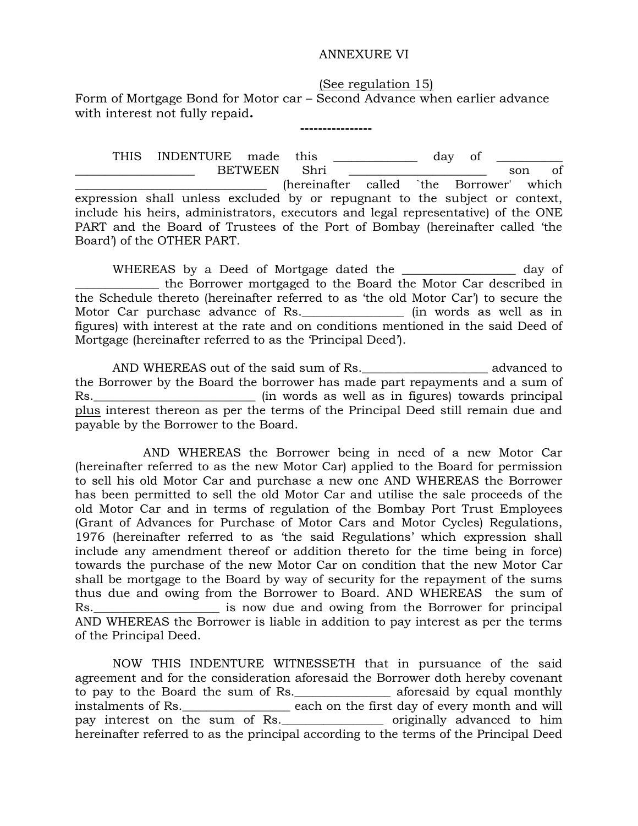#### ANNEXURE VI

 (See regulation 15) Form of Mortgage Bond for Motor car – Second Advance when earlier advance with interest not fully repaid**.**

 **----------------**

THIS INDENTURE made this  $\qquad \qquad$  day of \_\_\_\_\_\_\_\_\_\_\_\_\_\_\_\_\_\_\_\_ BETWEEN Shri \_\_\_\_\_\_\_\_\_\_\_\_\_\_\_\_\_\_\_\_\_\_\_ son of \_\_\_\_\_\_\_\_\_\_\_\_\_\_\_\_\_\_\_\_\_\_\_\_\_\_\_\_\_\_\_\_ (hereinafter called `the Borrower' which expression shall unless excluded by or repugnant to the subject or context, include his heirs, administrators, executors and legal representative) of the ONE PART and the Board of Trustees of the Port of Bombay (hereinafter called 'the Board') of the OTHER PART.

WHEREAS by a Deed of Mortgage dated the \_\_\_\_\_\_\_\_\_\_\_\_\_\_\_\_\_\_\_ day of \_\_\_\_\_\_\_\_\_\_\_\_\_\_ the Borrower mortgaged to the Board the Motor Car described in the Schedule thereto (hereinafter referred to as 'the old Motor Car') to secure the Motor Car purchase advance of Rs.\_\_\_\_\_\_\_\_\_\_\_\_\_\_\_\_\_ (in words as well as in figures) with interest at the rate and on conditions mentioned in the said Deed of Mortgage (hereinafter referred to as the 'Principal Deed').

AND WHEREAS out of the said sum of Rs.\_\_\_\_\_\_\_\_\_\_\_\_\_\_\_\_\_\_\_\_\_\_ advanced to the Borrower by the Board the borrower has made part repayments and a sum of Rs.\_\_\_\_\_\_\_\_\_\_\_\_\_\_\_\_\_\_\_\_\_\_\_\_\_\_\_\_\_\_\_\_\_ (in words as well as in figures) towards principal plus interest thereon as per the terms of the Principal Deed still remain due and payable by the Borrower to the Board.

 AND WHEREAS the Borrower being in need of a new Motor Car (hereinafter referred to as the new Motor Car) applied to the Board for permission to sell his old Motor Car and purchase a new one AND WHEREAS the Borrower has been permitted to sell the old Motor Car and utilise the sale proceeds of the old Motor Car and in terms of regulation of the Bombay Port Trust Employees (Grant of Advances for Purchase of Motor Cars and Motor Cycles) Regulations, 1976 (hereinafter referred to as 'the said Regulations' which expression shall include any amendment thereof or addition thereto for the time being in force) towards the purchase of the new Motor Car on condition that the new Motor Car shall be mortgage to the Board by way of security for the repayment of the sums thus due and owing from the Borrower to Board. AND WHEREAS the sum of Rs.\_\_\_\_\_\_\_\_\_\_\_\_\_\_\_\_\_\_\_\_\_ is now due and owing from the Borrower for principal AND WHEREAS the Borrower is liable in addition to pay interest as per the terms of the Principal Deed.

NOW THIS INDENTURE WITNESSETH that in pursuance of the said agreement and for the consideration aforesaid the Borrower doth hereby covenant to pay to the Board the sum of Rs.\_\_\_\_\_\_\_\_\_\_\_\_\_\_\_\_ aforesaid by equal monthly instalments of Rs.\_\_\_\_\_\_\_\_\_\_\_\_\_\_\_\_\_\_ each on the first day of every month and will pay interest on the sum of Rs.\_\_\_\_\_\_\_\_\_\_\_\_\_\_\_\_\_ originally advanced to him hereinafter referred to as the principal according to the terms of the Principal Deed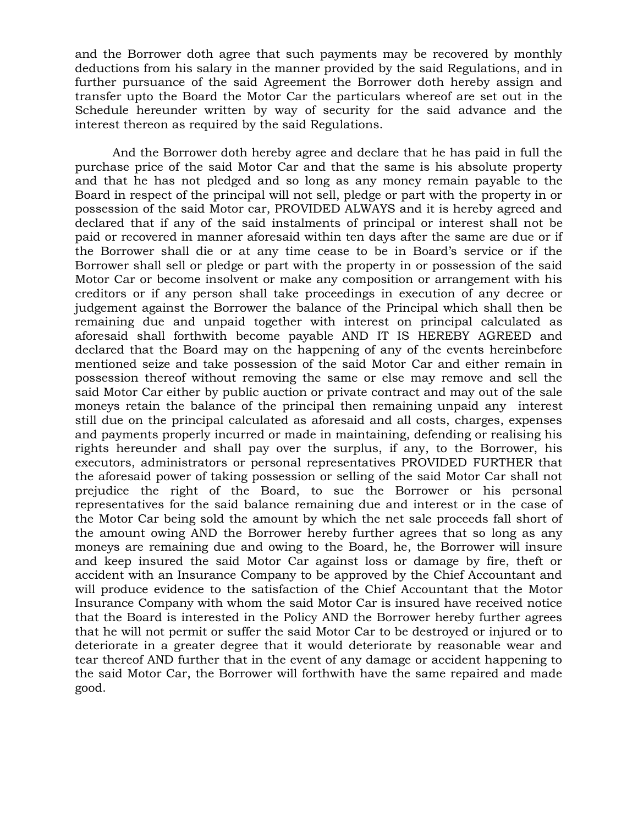and the Borrower doth agree that such payments may be recovered by monthly deductions from his salary in the manner provided by the said Regulations, and in further pursuance of the said Agreement the Borrower doth hereby assign and transfer upto the Board the Motor Car the particulars whereof are set out in the Schedule hereunder written by way of security for the said advance and the interest thereon as required by the said Regulations.

And the Borrower doth hereby agree and declare that he has paid in full the purchase price of the said Motor Car and that the same is his absolute property and that he has not pledged and so long as any money remain payable to the Board in respect of the principal will not sell, pledge or part with the property in or possession of the said Motor car, PROVIDED ALWAYS and it is hereby agreed and declared that if any of the said instalments of principal or interest shall not be paid or recovered in manner aforesaid within ten days after the same are due or if the Borrower shall die or at any time cease to be in Board's service or if the Borrower shall sell or pledge or part with the property in or possession of the said Motor Car or become insolvent or make any composition or arrangement with his creditors or if any person shall take proceedings in execution of any decree or judgement against the Borrower the balance of the Principal which shall then be remaining due and unpaid together with interest on principal calculated as aforesaid shall forthwith become payable AND IT IS HEREBY AGREED and declared that the Board may on the happening of any of the events hereinbefore mentioned seize and take possession of the said Motor Car and either remain in possession thereof without removing the same or else may remove and sell the said Motor Car either by public auction or private contract and may out of the sale moneys retain the balance of the principal then remaining unpaid any interest still due on the principal calculated as aforesaid and all costs, charges, expenses and payments properly incurred or made in maintaining, defending or realising his rights hereunder and shall pay over the surplus, if any, to the Borrower, his executors, administrators or personal representatives PROVIDED FURTHER that the aforesaid power of taking possession or selling of the said Motor Car shall not prejudice the right of the Board, to sue the Borrower or his personal representatives for the said balance remaining due and interest or in the case of the Motor Car being sold the amount by which the net sale proceeds fall short of the amount owing AND the Borrower hereby further agrees that so long as any moneys are remaining due and owing to the Board, he, the Borrower will insure and keep insured the said Motor Car against loss or damage by fire, theft or accident with an Insurance Company to be approved by the Chief Accountant and will produce evidence to the satisfaction of the Chief Accountant that the Motor Insurance Company with whom the said Motor Car is insured have received notice that the Board is interested in the Policy AND the Borrower hereby further agrees that he will not permit or suffer the said Motor Car to be destroyed or injured or to deteriorate in a greater degree that it would deteriorate by reasonable wear and tear thereof AND further that in the event of any damage or accident happening to the said Motor Car, the Borrower will forthwith have the same repaired and made good.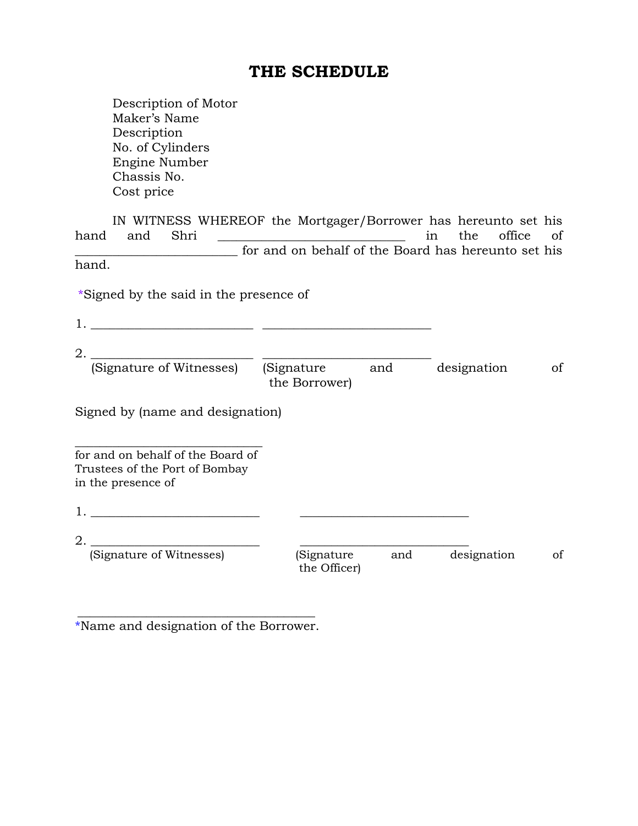# **THE SCHEDULE**

Description of Motor Maker's Name Description No. of Cylinders Engine Number Chassis No. Cost price

IN WITNESS WHEREOF the Mortgager/Borrower has hereunto set his hand and Shri \_\_\_\_\_\_\_\_\_\_\_\_\_\_\_\_\_\_\_\_\_\_\_\_\_\_\_\_\_\_ in the office of \_\_\_\_\_\_\_\_\_\_\_\_\_\_\_\_\_\_\_\_\_\_\_\_\_\_ for and on behalf of the Board has hereunto set his hand.

\*Signed by the said in the presence of

| 2.                                                                                        |                              |     |             |    |
|-------------------------------------------------------------------------------------------|------------------------------|-----|-------------|----|
| (Signature of Witnesses)                                                                  | (Signature)<br>the Borrower) | and | designation | of |
| Signed by (name and designation)                                                          |                              |     |             |    |
| for and on behalf of the Board of<br>Trustees of the Port of Bombay<br>in the presence of |                              |     |             |    |
| 1.                                                                                        |                              |     |             |    |
| 2.                                                                                        |                              |     |             |    |
| (Signature of Witnesses)                                                                  | (Signature<br>the Officer)   | and | designation | οf |

\_\_\_\_\_\_\_\_\_\_\_\_\_\_\_\_\_\_\_\_\_\_\_\_\_\_\_\_\_\_\_\_\_\_\_\_\_\_ \*Name and designation of the Borrower.